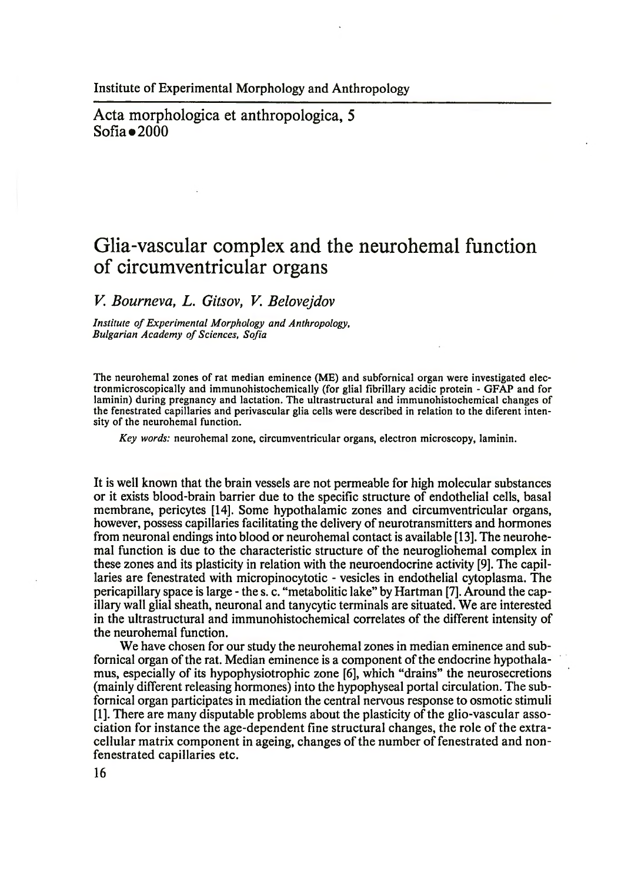Acta morphologica et anthropologica, 5  $Sofia = 2000$ 

## **Glia-vascular complex and the neurohemal function of circumventricular organs**

*V. Bourneva, L. Gitsov, V. Belovejdov*

*Institute of Experimental Morphology and Anthropology,* **Bulgarian Academy of Sciences, Sofia** 

The neurohemal zones of rat median eminence (ME) and subfornical organ were investigated electronmicroscopically and immunohistochemically (for glial fibrillary acidic protein - GFAP and for laminin) during pregnancy and lactation. The ultrastructural and immunohistochemical changes of the fenestrated capillaries and perivascular glia cells were described in relation to the diferent intensity of the neurohemal function.

*Key words:* neurohemal zone, circumventricular organs, electron microscopy, laminin.

It is well known that the brain vessels are not permeable for high molecular substances or it exists blood-brain barrier due to the specific structure of endothelial cells, basal membrane, pericytes [14]. Some hypothalamic zones and circumventricular organs, however, possess capillaries facilitating the delivery of neurotransmitters and hormones from neuronal endings into blood or neurohemal contact is available [13]. The neurohemal function is due to the characteristic structure of the neurogliohemal complex in these zones and its plasticity in relation with the neuroendocrine activity [9]. The capillaries are fenestrated with micropinocytotic - vesicles in endothelial cytoplasma. The pericapillary space is large - the s. c. "metabolitic lake" by Hartman [7]. Around the capillary wall glial sheath, neuronal and tanycytic terminals are situated. We are interested in the ultrastructural and immunohistochemical correlates of the different intensity of the neurohemal function.

We have chosen for our study the neurohemal zones in median eminence and subfornical organ of the rat. Median eminence is a component of the endocrine hypothalamus, especially of its hypophysiotrophic zone [6], which "drains" the neurosecretions (mainly different releasing hormones) into the hypophyseal portal circulation. The subfornical organ participates in mediation the central nervous response to osmotic stimuli [1]. There are many disputable problems about the plasticity of the glio-vascular association for instance the age-dependent fine structural changes, the role of the extracellular matrix component in ageing, changes of the number of fenestrated and nonfenestrated capillaries etc.

16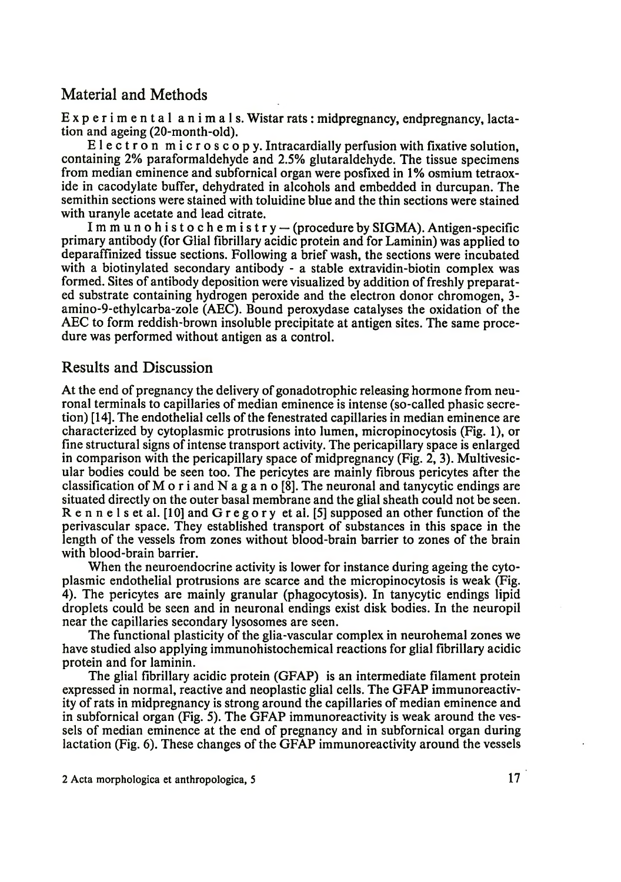## Material and Methods

Experimental animals. Wistar rats: midpregnancy, endpregnancy, lactation and ageing (20-month-old).

Electron microscopy. Intracardially perfusion with fixative solution, containing 2% paraformaldehyde and 2.5% glutaraldehyde. The tissue specimens from median eminence and subfornical organ were posfixed in 1% osmium tetraoxide in cacodylate buffer, dehydrated in alcohols and embedded in durcupan. The semithin sections were stained with toluidine blue and the thin sections were stained with uranyle acetate and lead citrate.

Immun ohistochemistry — (procedure by SIGMA). Antigen-specific primary antibody (for Glial fibrillary acidic protein and for Laminin) was applied to deparaffinized tissue sections. Following a brief wash, the sections were incubated with a biotinylated secondary antibody - a stable extravidin-biotin complex was formed. Sites of antibody deposition were visualized by addition of freshly preparated substrate containing hydrogen peroxide and the electron donor chromogen, 3 amino-9-ethylcarba-zole (AEC). Bound peroxydase catalyses the oxidation of the AEC to form reddish-brown insoluble precipitate at antigen sites. The same procedure was performed without antigen as a control.

## Results and Discussion

At the end of pregnancy the delivery of gonadotrophic releasing hormone from neuronal terminals to capillaries of median eminence is intense (so-called phasic secretion) [14]. The endothelial cells of the fenestrated capillaries in median eminence are characterized by cytoplasmic protrusions into lumen, micropinocytosis (Fig. 1), or fine structural signs of intense transport activity. The pericapillary space is enlarged in comparison with the pericapillary space of midpregnancy (Fig. 2, 3). Multivesicular bodies could be seen too. The pericytes are mainly fibrous pericytes after the classification of M o r i and N a g a n o [8]. The neuronal and tanycytic endings are situated directly on the outer basal membrane and the glial sheath could not be seen. R e n n e 1 s et al. [10] and G r e g o r y et al. [5] supposed an other function of the perivascular space. They established transport of substances in this space in the length of the vessels from zones without blood-brain barrier to zones of the brain with blood-brain barrier.

When the neuroendocrine activity is lower for instance during ageing the cytoplasmic endothelial protrusions are scarce and the micropinocytosis is weak (Fig. 4). The pericytes are mainly granular (phagocytosis). In tanycytic endings lipid droplets could be seen and in neuronal endings exist disk bodies. In the neuropil near the capillaries secondary lysosomes are seen.

The functional plasticity of the glia-vascular complex in neurohemal zones we have studied also applying immunohistochemical reactions for glial fibrillary acidic protein and for laminin.

The glial fibrillary acidic protein (GFAP) is an intermediate filament protein expressed in normal, reactive and neoplastic glial cells. The GFAP immunoreactivity of rats in midpregnancy is strong around the capillaries of median eminence and in subfornical organ (Fig. 5). The GFAP immunoreactivity is weak around the vessels of median eminence at the end of pregnancy and in subfornical organ during lactation (Fig. 6). These changes of the GFAP immunoreactivity around the vessels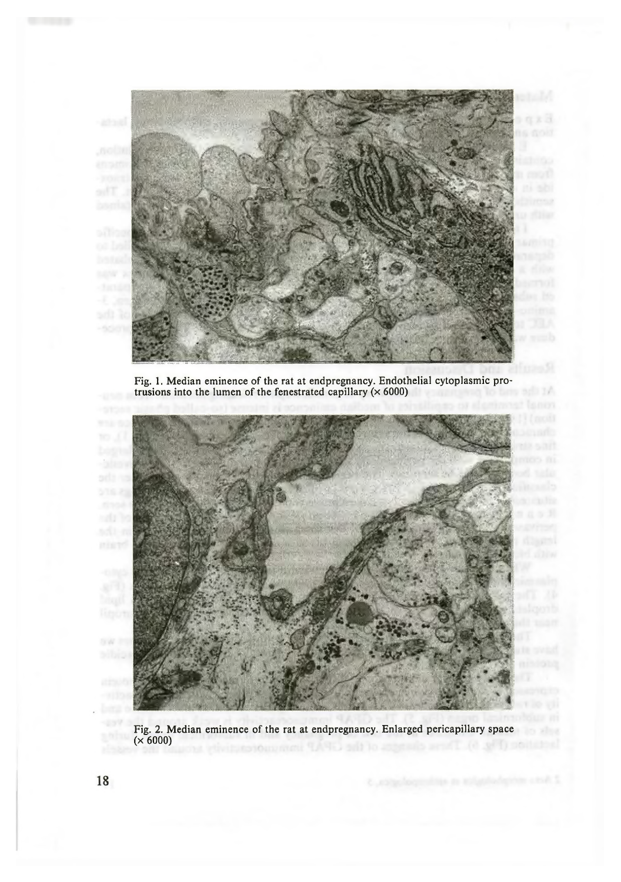

Fig. 1. Median eminence of the rat at endpregnancy. Endothelial cytoplasmic protrusions into the lumen of the fenestrated capillary ( $\times$  6000)



Fig. 2. Median eminence of the rat at endpregnancy. Enlarged pericapillary space (x 6000)

19.92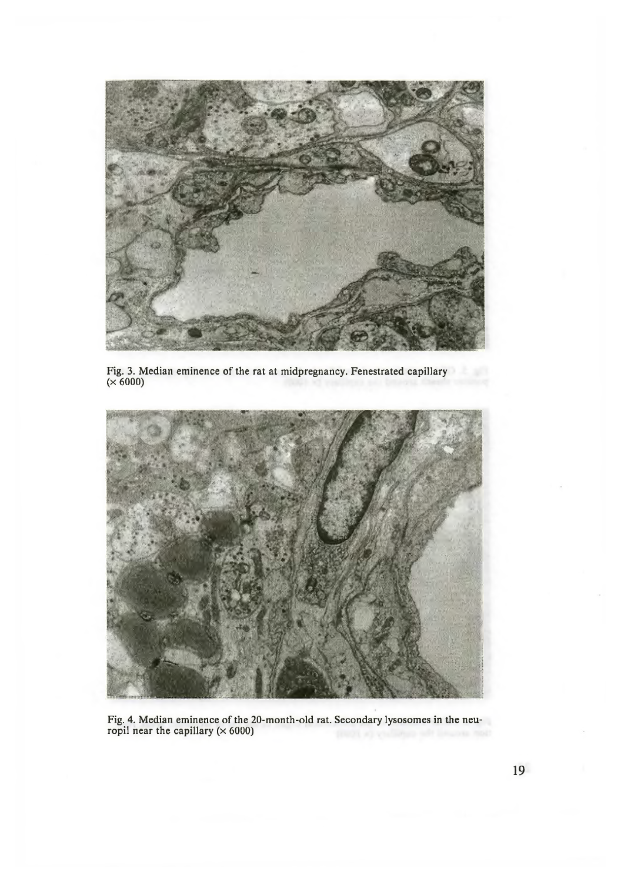

Fig. 3. Median eminence of the rat at midpregnancy. Fenestrated capillary (x 6000)



Fig. 4. Median eminence of the 20-month-old rat. Secondary lysosomes in the neuropil near the capillary ( $\times\,6000$ )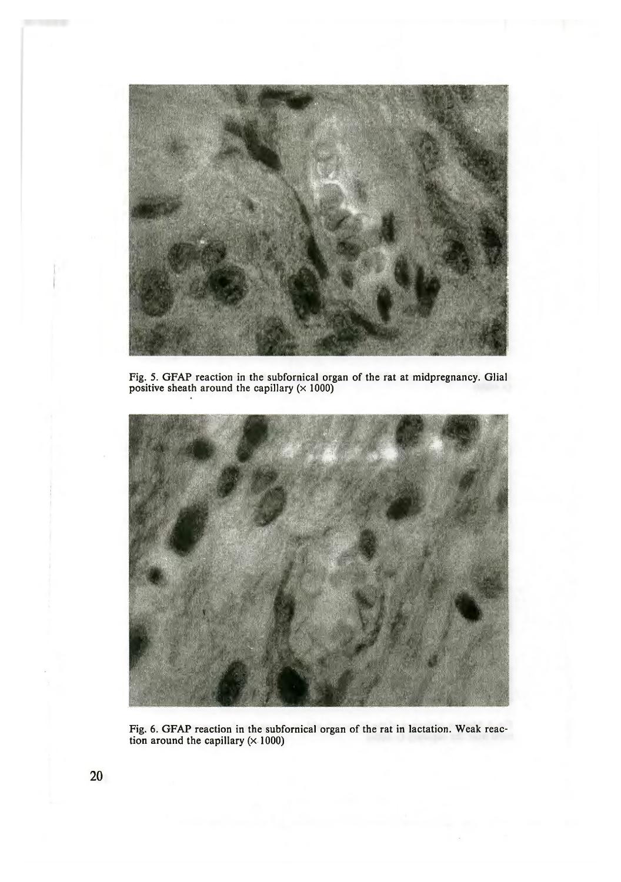

Fig. 5. GFAP reaction in the subfornical organ of the rat at midpregnancy. Glial positive sheath around the capillary  $(x 1000)$ 



Fig. 6. GFAP reaction in the subfornical organ of the rat in lactation. Weak reaction around the capillary  $(x 1000)$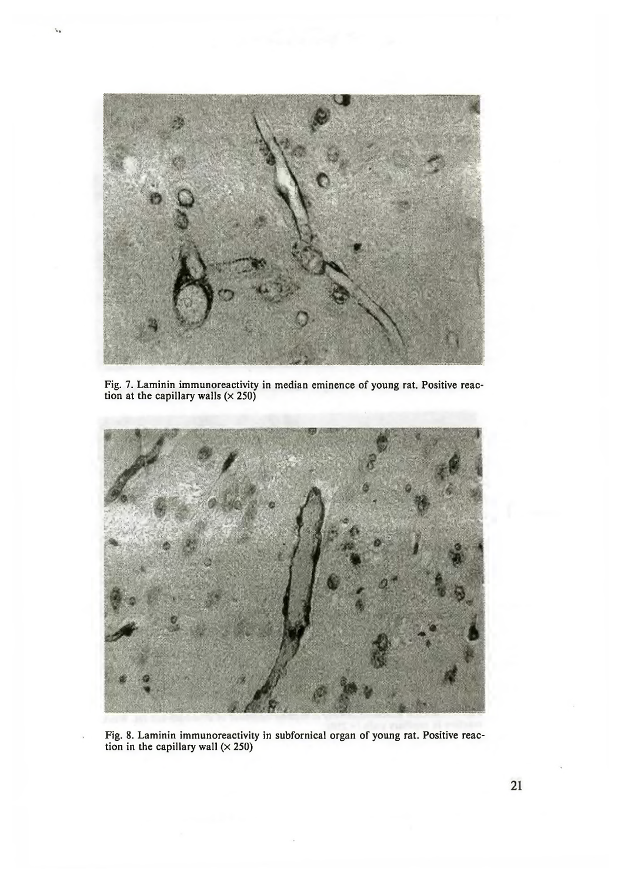

Fig. 7. Laminin immunoreactivity in median eminence of young rat. Positive reaction at the capillary walls  $(\times 250)$ 



Fig. 8. Laminin immunoreactivity in subfornical organ of young rat. Positive reaction in the capillary wall  $(\times 250)$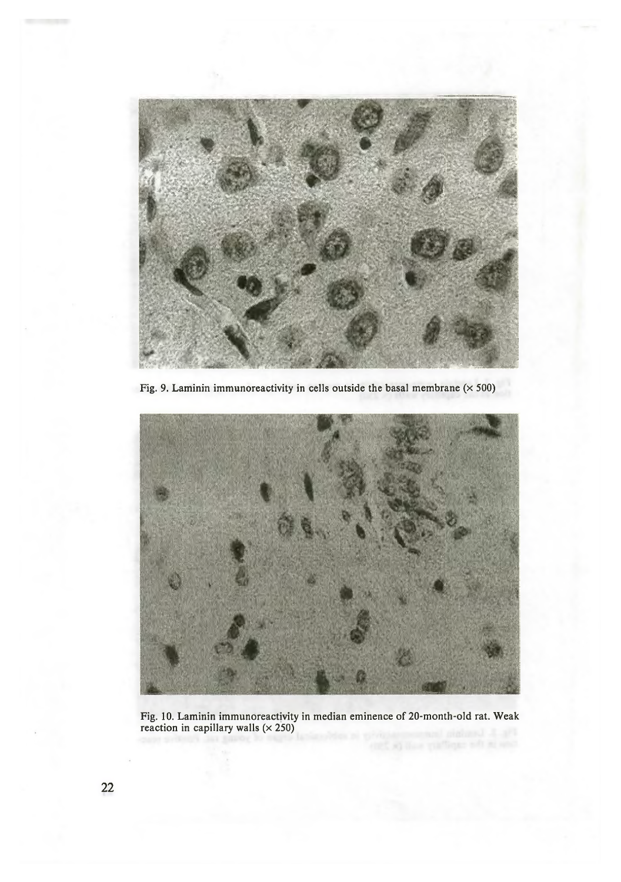

Fig. 9. Laminin immunoreactivity in cells outside the basal membrane  $(x 500)$ 



Fig. 10. Laminin immunoreactivity in median eminence of 20-month-old rat. Weak reaction in capillary walls  $(\times 250)$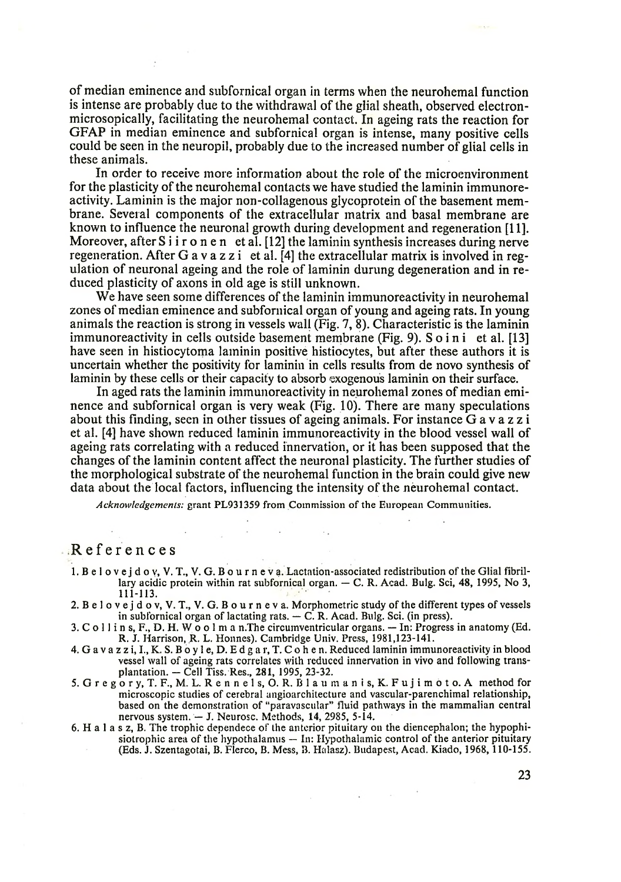of median eminence and subfornical organ in terms when the neurohemal function is intense are probably due to the withdrawal of the glial sheath, observed electronmicrosopically, facilitating the neurohemal contact. In ageing rats the reaction for GFAP in median eminence and subfornical organ is intense, many positive cells could be seen in the neuropil, probably due to the increased number of glial cells in these animals.

In order to receive more information about the role of the microenvironment for the plasticity of the neurohemal contacts we have studied the laminin immunoreactivity. Laminin is the major non-collagenous glycoprotein of the basement membrane. Several components of the extracellular matrix and basal membrane are known to influence the neuronal growth during development and regeneration [11]. Moreover, after S i i r o n e n et al. [12] the laminin synthesis increases during nerve regeneration. After G a v a z z i et al. [4] the extracellular matrix is involved in regulation of neuronal ageing and the role of laminin durung degeneration and in reduced plasticity of axons in old age is still unknown.

We have seen some differences of the laminin immunoreactivity in neurohemal zones of median eminence and subfornical organ of young and ageing rats. In young animals the reaction is strong in vessels wall (Fig. 7, 8). Characteristic is the laminin immunoreactivity in cells outside basement membrane (Fig. 9). S o i n i et al. [13] have seen in histiocytoma laminin positive histiocytes, but after these authors it is uncertain whether the positivity for laminin in cells results from de novo synthesis of laminin by these cells or their capacity to absorb exogenous laminin on their surface.

In aged rats the laminin immunoreactivity in neurohemal zones of median eminence and subfornical organ is very weak (Fig. 10). There are many speculations about this finding, seen in other tissues of ageing animals. For instance G a v a z z i et al. [4] have shown reduced laminin immunoreactivity in the blood vessel wall of ageing rats correlating with a reduced innervation, or it has been supposed that the changes of the laminin content affect the neuronal plasticity. The further studies of the morphological substrate of the neurohemal function in the brain could give new data about the local factors, influencing the intensity of the neurohemal contact.

*Acknowledgements:* grant PL931359 from Commission of the European Communities.

 $\label{eq:1} \mathbf{x} = \left( \begin{array}{cccc} 0 & 0 & 0 & 0 \\ 0 & 0 & 0 & 0 \\ 0 & 0 & 0 & 0 \end{array} \right) \quad \text{and} \quad \mathbf{y} = \left( \begin{array}{cccc} 0 & 0 & 0 \\ 0 & 0 & 0 \\ 0 & 0 & 0 \\ 0 & 0 & 0 \end{array} \right)$ 

## References

- 1. B e l o v e j d o v, V. T., V. G. B o u r n e v a. Lactation-associated redistribution of the Glial fibrillary acidic protein within rat subfornical organ. — C. R. Acad. Bulg. Sci, 48, 1995, No 3, 111-113.
- 2. В е 1 o v e j d o v, V.T., V. G. B o u r n e v a. Morphometric study of the different types of vessels in subfornical organ of lactating rats. — C. R. Acad. Bulg. Sci. (in press).
- 3. C o 11 i n s, F., D. H. W o o 1 m a n.The circumventricular organs. In: Progress in anatomy (Ed. R. J. Harrison, R. L. Honnes). Cambridge Univ. Press, 1981,123-141.
- 4. G a v a z z i, I., K. S. В o у 1 e, D. E d g a r, T. C o h e n. Reduced laminin immunoreactivity in blood vessel wall of ageing rats correlates with reduced innervation in vivo and following transplantation. — Cell Tiss. Res., 281, 1995, 23-32.
- 5. G r e g o r у, T. F., M. L. R е n n е 1 s, O. R. В 1 a u m a n i s, K. F u j i m o t o. A method for microscopic studies of cerebral angioarchitecture and vascular-parenchimal relationship, based on the demonstration of "paravascular" fluid pathways in the mammalian central nervous system. — J. Neurosc. Methods, 14, 2985, 5-14.
- 6. H a 1 a s z, B. The trophic dependece of the anterior pituitary on the diencephalon; the hypophisiotrophic area of the hypothalamus — In: Hypothalamic control of the anterior pituitary (Eds. J. Szentagotai, B. Flerco, B. Mess, B. Halasz). Budapest, Acad. Kiado, 1968,110-155.

 $\label{eq:2.1} \frac{1}{\sqrt{2}}\int_{\mathbb{R}^{3}}\frac{1}{\sqrt{2}}\left(\frac{1}{\sqrt{2}}\right)^{2}e^{-\frac{1}{2}\left(\frac{1}{2}\right)^{2}}\left(\frac{1}{\sqrt{2}}\right)^{2}e^{-\frac{1}{2}\left(\frac{1}{2}\right)^{2}}\left(\frac{1}{\sqrt{2}}\right)^{2}e^{-\frac{1}{2}\left(\frac{1}{2}\right)^{2}}\left(\frac{1}{\sqrt{2}}\right)^{2}e^{-\frac{1}{2}\left(\frac{1}{2}\right)^{2}}\left(\frac{1}{\sqrt{2}}\right)^{2}e$